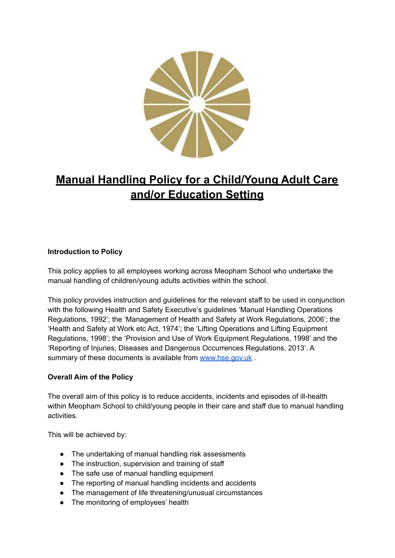

# **Manual Handling Policy for a Child/Young Adult Care and/or Education Setting**

## **Introduction to Policy**

This policy applies to all employees working across Meopham School who undertake the manual handling of children/young adults activities within the school.

This policy provides instruction and guidelines for the relevant staff to be used in conjunction with the following Health and Safety Executive's guidelines 'Manual Handling Operations Regulations, 1992'; the 'Management of Health and Safety at Work Regulations, 2006'; the 'Health and Safety at Work etc Act, 1974'; the 'Lifting Operations and Lifting Equipment Regulations, 1998'; the 'Provision and Use of Work Equipment Regulations, 1998' and the 'Reporting of Injuries, Diseases and Dangerous Occurrences Regulations, 2013'. A summary of these documents is available from [www.hse.gov.uk](http://www.hse.gov.uk).

## **Overall Aim of the Policy**

The overall aim of this policy is to reduce accidents, incidents and episodes of ill-health within Meopham School to child/young people in their care and staff due to manual handling activities.

This will be achieved by:

- The undertaking of manual handling risk assessments
- The instruction, supervision and training of staff
- The safe use of manual handling equipment
- The reporting of manual handling incidents and accidents
- The management of life threatening/unusual circumstances
- The monitoring of employees' health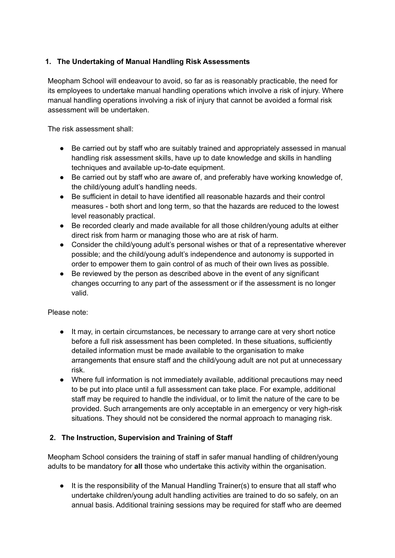## **1. The Undertaking of Manual Handling Risk Assessments**

Meopham School will endeavour to avoid, so far as is reasonably practicable, the need for its employees to undertake manual handling operations which involve a risk of injury. Where manual handling operations involving a risk of injury that cannot be avoided a formal risk assessment will be undertaken.

The risk assessment shall:

- Be carried out by staff who are suitably trained and appropriately assessed in manual handling risk assessment skills, have up to date knowledge and skills in handling techniques and available up-to-date equipment.
- Be carried out by staff who are aware of, and preferably have working knowledge of, the child/young adult's handling needs.
- Be sufficient in detail to have identified all reasonable hazards and their control measures - both short and long term, so that the hazards are reduced to the lowest level reasonably practical.
- Be recorded clearly and made available for all those children/young adults at either direct risk from harm or managing those who are at risk of harm.
- Consider the child/young adult's personal wishes or that of a representative wherever possible; and the child/young adult's independence and autonomy is supported in order to empower them to gain control of as much of their own lives as possible.
- Be reviewed by the person as described above in the event of any significant changes occurring to any part of the assessment or if the assessment is no longer valid.

Please note:

- It may, in certain circumstances, be necessary to arrange care at very short notice before a full risk assessment has been completed. In these situations, sufficiently detailed information must be made available to the organisation to make arrangements that ensure staff and the child/young adult are not put at unnecessary risk.
- Where full information is not immediately available, additional precautions may need to be put into place until a full assessment can take place. For example, additional staff may be required to handle the individual, or to limit the nature of the care to be provided. Such arrangements are only acceptable in an emergency or very high-risk situations. They should not be considered the normal approach to managing risk.

## **2. The Instruction, Supervision and Training of Staff**

Meopham School considers the training of staff in safer manual handling of children/young adults to be mandatory for **all** those who undertake this activity within the organisation.

● It is the responsibility of the Manual Handling Trainer(s) to ensure that all staff who undertake children/young adult handling activities are trained to do so safely, on an annual basis. Additional training sessions may be required for staff who are deemed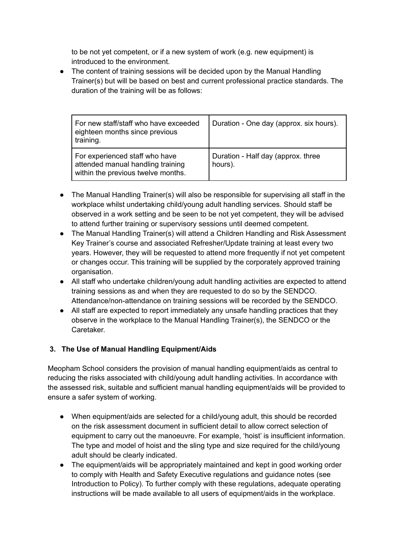to be not yet competent, or if a new system of work (e.g. new equipment) is introduced to the environment.

• The content of training sessions will be decided upon by the Manual Handling Trainer(s) but will be based on best and current professional practice standards. The duration of the training will be as follows:

| For new staff/staff who have exceeded<br>eighteen months since previous<br>training.                      | Duration - One day (approx. six hours).       |
|-----------------------------------------------------------------------------------------------------------|-----------------------------------------------|
| For experienced staff who have<br>attended manual handling training<br>within the previous twelve months. | Duration - Half day (approx. three<br>hours). |

- The Manual Handling Trainer(s) will also be responsible for supervising all staff in the workplace whilst undertaking child/young adult handling services. Should staff be observed in a work setting and be seen to be not yet competent, they will be advised to attend further training or supervisory sessions until deemed competent.
- The Manual Handling Trainer(s) will attend a Children Handling and Risk Assessment Key Trainer's course and associated Refresher/Update training at least every two years. However, they will be requested to attend more frequently if not yet competent or changes occur. This training will be supplied by the corporately approved training organisation.
- All staff who undertake children/young adult handling activities are expected to attend training sessions as and when they are requested to do so by the SENDCO. Attendance/non-attendance on training sessions will be recorded by the SENDCO.
- All staff are expected to report immediately any unsafe handling practices that they observe in the workplace to the Manual Handling Trainer(s), the SENDCO or the Caretaker.

# **3. The Use of Manual Handling Equipment/Aids**

Meopham School considers the provision of manual handling equipment/aids as central to reducing the risks associated with child/young adult handling activities. In accordance with the assessed risk, suitable and sufficient manual handling equipment/aids will be provided to ensure a safer system of working.

- When equipment/aids are selected for a child/young adult, this should be recorded on the risk assessment document in sufficient detail to allow correct selection of equipment to carry out the manoeuvre. For example, 'hoist' is insufficient information. The type and model of hoist and the sling type and size required for the child/young adult should be clearly indicated.
- The equipment/aids will be appropriately maintained and kept in good working order to comply with Health and Safety Executive regulations and guidance notes (see Introduction to Policy). To further comply with these regulations, adequate operating instructions will be made available to all users of equipment/aids in the workplace.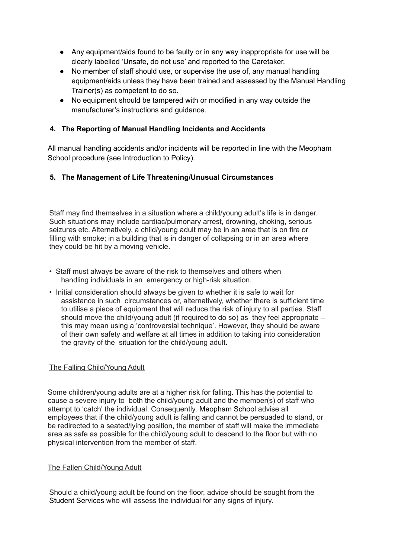- Any equipment/aids found to be faulty or in any way inappropriate for use will be clearly labelled 'Unsafe, do not use' and reported to the Caretaker.
- No member of staff should use, or supervise the use of, any manual handling equipment/aids unless they have been trained and assessed by the Manual Handling Trainer(s) as competent to do so.
- No equipment should be tampered with or modified in any way outside the manufacturer's instructions and guidance.

## **4. The Reporting of Manual Handling Incidents and Accidents**

All manual handling accidents and/or incidents will be reported in line with the Meopham School procedure (see Introduction to Policy).

## **5. The Management of Life Threatening/Unusual Circumstances**

Staff may find themselves in a situation where a child/young adult's life is in danger. Such situations may include cardiac/pulmonary arrest, drowning, choking, serious seizures etc. Alternatively, a child/young adult may be in an area that is on fire or filling with smoke; in a building that is in danger of collapsing or in an area where they could be hit by a moving vehicle.

- Staff must always be aware of the risk to themselves and others when handling individuals in an emergency or high-risk situation.
- Initial consideration should always be given to whether it is safe to wait for assistance in such circumstances or, alternatively, whether there is sufficient time to utilise a piece of equipment that will reduce the risk of injury to all parties. Staff should move the child/young adult (if required to do so) as they feel appropriate – this may mean using a 'controversial technique'. However, they should be aware of their own safety and welfare at all times in addition to taking into consideration the gravity of the situation for the child/young adult.

## The Falling Child/Young Adult

Some children/young adults are at a higher risk for falling. This has the potential to cause a severe injury to both the child/young adult and the member(s) of staff who attempt to 'catch' the individual. Consequently, Meopham School advise all employees that if the child/young adult is falling and cannot be persuaded to stand, or be redirected to a seated/lying position, the member of staff will make the immediate area as safe as possible for the child/young adult to descend to the floor but with no physical intervention from the member of staff.

## The Fallen Child/Young Adult

Should a child/young adult be found on the floor, advice should be sought from the Student Services who will assess the individual for any signs of injury.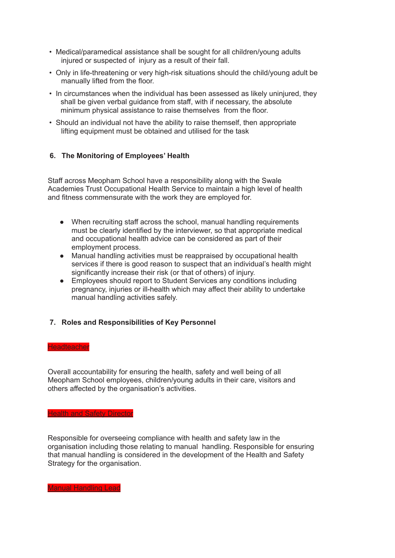- Medical/paramedical assistance shall be sought for all children/young adults injured or suspected of injury as a result of their fall.
- Only in life-threatening or very high-risk situations should the child/young adult be manually lifted from the floor.
- In circumstances when the individual has been assessed as likely uninjured, they shall be given verbal guidance from staff, with if necessary, the absolute minimum physical assistance to raise themselves from the floor.
- Should an individual not have the ability to raise themself, then appropriate lifting equipment must be obtained and utilised for the task

## **6. The Monitoring of Employees' Health**

Staff across Meopham School have a responsibility along with the Swale Academies Trust Occupational Health Service to maintain a high level of health and fitness commensurate with the work they are employed for.

- When recruiting staff across the school, manual handling requirements must be clearly identified by the interviewer, so that appropriate medical and occupational health advice can be considered as part of their employment process.
- Manual handling activities must be reappraised by occupational health services if there is good reason to suspect that an individual's health might significantly increase their risk (or that of others) of injury.
- Employees should report to Student Services any conditions including pregnancy, injuries or ill-health which may affect their ability to undertake manual handling activities safely.

#### **7. Roles and Responsibilities of Key Personnel**

#### **Headteacher**

Overall accountability for ensuring the health, safety and well being of all Meopham School employees, children/young adults in their care, visitors and others affected by the organisation's activities.

## **Health and Safety Director**

Responsible for overseeing compliance with health and safety law in the organisation including those relating to manual handling. Responsible for ensuring that manual handling is considered in the development of the Health and Safety Strategy for the organisation.

Manual Handling Lead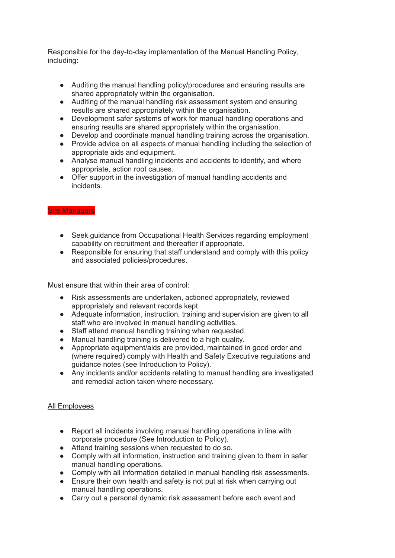Responsible for the day-to-day implementation of the Manual Handling Policy, including:

- Auditing the manual handling policy/procedures and ensuring results are shared appropriately within the organisation.
- Auditing of the manual handling risk assessment system and ensuring results are shared appropriately within the organisation.
- Development safer systems of work for manual handling operations and ensuring results are shared appropriately within the organisation.
- Develop and coordinate manual handling training across the organisation.
- Provide advice on all aspects of manual handling including the selection of appropriate aids and equipment.
- Analyse manual handling incidents and accidents to identify, and where appropriate, action root causes.
- Offer support in the investigation of manual handling accidents and incidents.

#### Site Managers

- Seek guidance from Occupational Health Services regarding employment capability on recruitment and thereafter if appropriate.
- Responsible for ensuring that staff understand and comply with this policy and associated policies/procedures.

Must ensure that within their area of control:

- Risk assessments are undertaken, actioned appropriately, reviewed appropriately and relevant records kept.
- Adequate information, instruction, training and supervision are given to all staff who are involved in manual handling activities.
- Staff attend manual handling training when requested.
- Manual handling training is delivered to a high quality.
- Appropriate equipment/aids are provided, maintained in good order and (where required) comply with Health and Safety Executive regulations and guidance notes (see Introduction to Policy).
- Any incidents and/or accidents relating to manual handling are investigated and remedial action taken where necessary.

#### All Employees

- Report all incidents involving manual handling operations in line with corporate procedure (See Introduction to Policy).
- Attend training sessions when requested to do so.
- Comply with all information, instruction and training given to them in safer manual handling operations.
- Comply with all information detailed in manual handling risk assessments.
- Ensure their own health and safety is not put at risk when carrying out manual handling operations.
- Carry out a personal dynamic risk assessment before each event and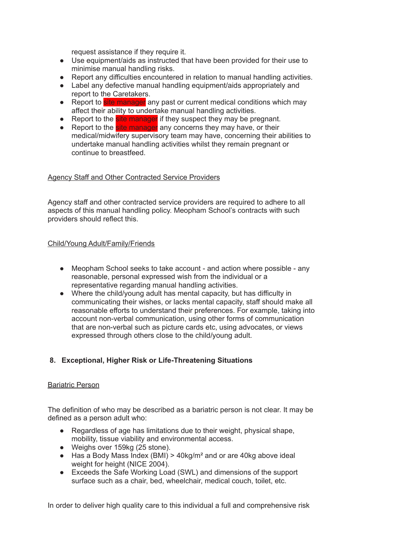request assistance if they require it.

- Use equipment/aids as instructed that have been provided for their use to minimise manual handling risks.
- Report any difficulties encountered in relation to manual handling activities.
- Label any defective manual handling equipment/aids appropriately and report to the Caretakers.
- Report to site manager any past or current medical conditions which may affect their ability to undertake manual handling activities.
- Report to the site manager if they suspect they may be pregnant.
- Report to the site manager any concerns they may have, or their medical/midwifery supervisory team may have, concerning their abilities to undertake manual handling activities whilst they remain pregnant or continue to breastfeed.

#### Agency Staff and Other Contracted Service Providers

Agency staff and other contracted service providers are required to adhere to all aspects of this manual handling policy. Meopham School's contracts with such providers should reflect this.

#### Child/Young Adult/Family/Friends

- Meopham School seeks to take account and action where possible any reasonable, personal expressed wish from the individual or a representative regarding manual handling activities.
- Where the child/young adult has mental capacity, but has difficulty in communicating their wishes, or lacks mental capacity, staff should make all reasonable efforts to understand their preferences. For example, taking into account non-verbal communication, using other forms of communication that are non-verbal such as picture cards etc, using advocates, or views expressed through others close to the child/young adult.

## **8. Exceptional, Higher Risk or Life-Threatening Situations**

#### Bariatric Person

The definition of who may be described as a bariatric person is not clear. It may be defined as a person adult who:

- Regardless of age has limitations due to their weight, physical shape, mobility, tissue viability and environmental access.
- Weighs over 159kg (25 stone).
- $\bullet$  Has a Body Mass Index (BMI) > 40kg/m<sup>2</sup> and or are 40kg above ideal weight for height (NICE 2004).
- Exceeds the Safe Working Load (SWL) and dimensions of the support surface such as a chair, bed, wheelchair, medical couch, toilet, etc.

In order to deliver high quality care to this individual a full and comprehensive risk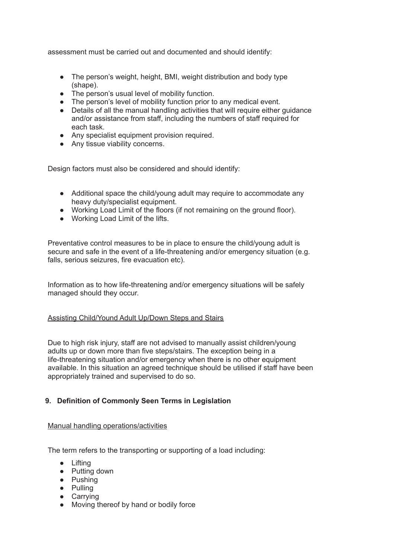assessment must be carried out and documented and should identify:

- The person's weight, height, BMI, weight distribution and body type (shape).
- The person's usual level of mobility function.
- The person's level of mobility function prior to any medical event.
- Details of all the manual handling activities that will require either guidance and/or assistance from staff, including the numbers of staff required for each task.
- Any specialist equipment provision required.
- Any tissue viability concerns.

Design factors must also be considered and should identify:

- Additional space the child/young adult may require to accommodate any heavy duty/specialist equipment.
- Working Load Limit of the floors (if not remaining on the ground floor).
- Working Load Limit of the lifts.

Preventative control measures to be in place to ensure the child/young adult is secure and safe in the event of a life-threatening and/or emergency situation (e.g. falls, serious seizures, fire evacuation etc).

Information as to how life-threatening and/or emergency situations will be safely managed should they occur.

#### Assisting Child/Yound Adult Up/Down Steps and Stairs

Due to high risk injury, staff are not advised to manually assist children/young adults up or down more than five steps/stairs. The exception being in a life-threatening situation and/or emergency when there is no other equipment available. In this situation an agreed technique should be utilised if staff have been appropriately trained and supervised to do so.

#### **9. Definition of Commonly Seen Terms in Legislation**

#### Manual handling operations/activities

The term refers to the transporting or supporting of a load including:

- Lifting
- Putting down
- Pushing
- Pulling
- Carrying
- Moving thereof by hand or bodily force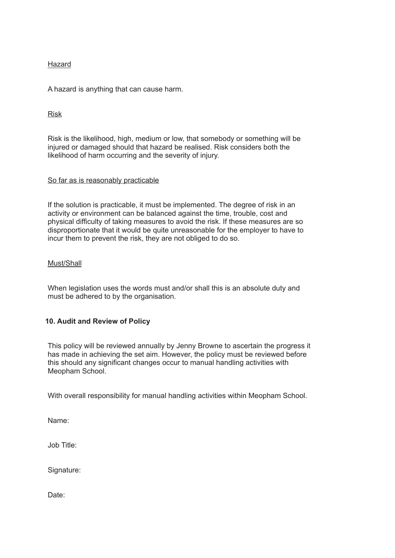## Hazard

A hazard is anything that can cause harm.

## Risk

Risk is the likelihood, high, medium or low, that somebody or something will be injured or damaged should that hazard be realised. Risk considers both the likelihood of harm occurring and the severity of injury.

#### So far as is reasonably practicable

If the solution is practicable, it must be implemented. The degree of risk in an activity or environment can be balanced against the time, trouble, cost and physical difficulty of taking measures to avoid the risk. If these measures are so disproportionate that it would be quite unreasonable for the employer to have to incur them to prevent the risk, they are not obliged to do so.

#### Must/Shall

When legislation uses the words must and/or shall this is an absolute duty and must be adhered to by the organisation.

#### **10. Audit and Review of Policy**

This policy will be reviewed annually by Jenny Browne to ascertain the progress it has made in achieving the set aim. However, the policy must be reviewed before this should any significant changes occur to manual handling activities with Meopham School.

With overall responsibility for manual handling activities within Meopham School.

Name:

Job Title:

Signature:

Date: